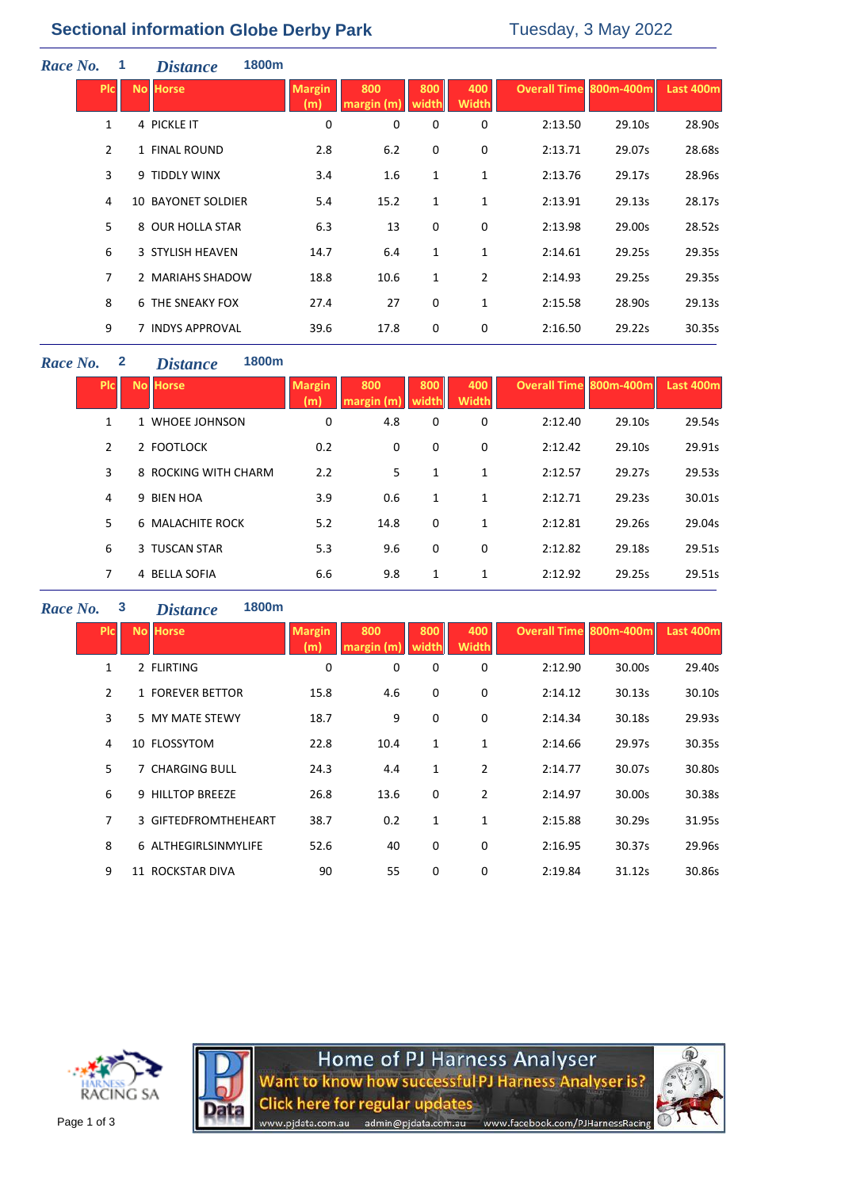# **Sectional information Globe Derby Park** Tuesday, 3 May 2022

| Race No. | $\mathbf{1}$ | <i><b>Distance</b></i>                                               |                                                                                                                                                                                                   |                   |              |                     |         |        |                               |
|----------|--------------|----------------------------------------------------------------------|---------------------------------------------------------------------------------------------------------------------------------------------------------------------------------------------------|-------------------|--------------|---------------------|---------|--------|-------------------------------|
|          |              |                                                                      | <b>Margin</b><br>(m)                                                                                                                                                                              | 800<br>margin (m) | 800<br>width | 400<br><b>Width</b> |         |        | <b>Last 400m</b>              |
|          |              |                                                                      | 0                                                                                                                                                                                                 | 0                 | 0            | 0                   | 2:13.50 | 29.10s | 28.90s                        |
|          |              |                                                                      | 2.8                                                                                                                                                                                               | 6.2               | 0            | 0                   | 2:13.71 | 29.07s | 28.68s                        |
|          |              |                                                                      | 3.4                                                                                                                                                                                               | 1.6               | 1            | $\mathbf{1}$        | 2:13.76 | 29.17s | 28.96s                        |
|          |              |                                                                      | 5.4                                                                                                                                                                                               | 15.2              | 1            | 1                   | 2:13.91 | 29.13s | 28.17s                        |
|          |              |                                                                      | 6.3                                                                                                                                                                                               | 13                | 0            | 0                   | 2:13.98 | 29.00s | 28.52s                        |
|          |              |                                                                      | 14.7                                                                                                                                                                                              | 6.4               | 1            | 1                   | 2:14.61 | 29.25s | 29.35s                        |
|          |              |                                                                      | 18.8                                                                                                                                                                                              | 10.6              | 1            | $\overline{2}$      | 2:14.93 | 29.25s | 29.35s                        |
|          |              |                                                                      | 27.4                                                                                                                                                                                              | 27                | 0            | 1                   | 2:15.58 | 28.90s | 29.13s                        |
|          |              |                                                                      | 39.6                                                                                                                                                                                              | 17.8              | 0            | 0                   | 2:16.50 | 29.22s | 30.35s                        |
|          |              | <b>PIC</b><br>1<br>$\overline{2}$<br>3<br>4<br>5<br>6<br>7<br>8<br>9 | <b>No Horse</b><br>4 PICKLE IT<br>1 FINAL ROUND<br>9 TIDDLY WINX<br><b>10 BAYONET SOLDIER</b><br>8 OUR HOLLA STAR<br>3 STYLISH HEAVEN<br>2 MARIAHS SHADOW<br>6 THE SNEAKY FOX<br>7 INDYS APPROVAL | 1800m             |              |                     |         |        | <b>Overall Time 800m-400m</b> |

#### *Race No.* **2** *Distance* **1800m**

| PIc            | <b>No Horse</b>      | <b>Margin</b><br>(m) | 800<br>margin (m | 800<br>width | 400<br><b>Width</b> | Overall Time 800m-400m |        | Last 400m |
|----------------|----------------------|----------------------|------------------|--------------|---------------------|------------------------|--------|-----------|
| 1              | 1 WHOEE JOHNSON      | 0                    | 4.8              | 0            | 0                   | 2:12.40                | 29.10s | 29.54s    |
| $\overline{2}$ | 2 FOOTLOCK           | 0.2                  | 0                | 0            | 0                   | 2:12.42                | 29.10s | 29.91s    |
| 3              | 8 ROCKING WITH CHARM | 2.2                  | 5                | 1            | 1                   | 2:12.57                | 29.27s | 29.53s    |
| 4              | 9 BIEN HOA           | 3.9                  | 0.6              | 1            | $\mathbf{1}$        | 2:12.71                | 29.23s | 30.01s    |
| 5              | 6 MALACHITE ROCK     | 5.2                  | 14.8             | $\mathbf 0$  | $\mathbf{1}$        | 2:12.81                | 29.26s | 29.04s    |
| 6              | 3 TUSCAN STAR        | 5.3                  | 9.6              | 0            | 0                   | 2:12.82                | 29.18s | 29.51s    |
| 7              | 4 BELLA SOFIA        | 6.6                  | 9.8              | 1            | $\mathbf{1}$        | 2:12.92                | 29.25s | 29.51s    |

## *Race No.* **3** *Distance* **1800m**

| Plc.           | <b>No Horse</b>      | <b>Margin</b><br>m | 800  | 800          | 400<br><b>Width</b> | <b>Overall Time 800m-400m</b> |        | Last 400m |
|----------------|----------------------|--------------------|------|--------------|---------------------|-------------------------------|--------|-----------|
| 1              | 2 FLIRTING           | 0                  | 0    | 0            | 0                   | 2:12.90                       | 30.00s | 29.40s    |
| $\overline{2}$ | 1 FOREVER BETTOR     | 15.8               | 4.6  | 0            | 0                   | 2:14.12                       | 30.13s | 30.10s    |
| 3              | 5 MY MATE STEWY      | 18.7               | 9    | 0            | $\mathbf 0$         | 2:14.34                       | 30.18s | 29.93s    |
| 4              | 10 FLOSSYTOM         | 22.8               | 10.4 | 1            | $\mathbf{1}$        | 2:14.66                       | 29.97s | 30.35s    |
| 5              | 7 CHARGING BULL      | 24.3               | 4.4  | $\mathbf{1}$ | $\overline{2}$      | 2:14.77                       | 30.07s | 30.80s    |
| 6              | 9 HILLTOP BREEZE     | 26.8               | 13.6 | 0            | 2                   | 2:14.97                       | 30.00s | 30.38s    |
| 7              | 3 GIFTEDFROMTHEHEART | 38.7               | 0.2  | $\mathbf{1}$ | $\mathbf{1}$        | 2:15.88                       | 30.29s | 31.95s    |
| 8              | 6 ALTHEGIRLSINMYLIFE | 52.6               | 40   | 0            | 0                   | 2:16.95                       | 30.37s | 29.96s    |
| 9              | 11 ROCKSTAR DIVA     | 90                 | 55   | 0            | 0                   | 2:19.84                       | 31.12s | 30.86s    |





Home of PJ Harness Analyser<br>Want to know how successful PJ Harness Analyser is? **Click here for regular updates** www.pjdata.com.au admin@pjdata.com.au www.facebook.com/PJHarnessRacing

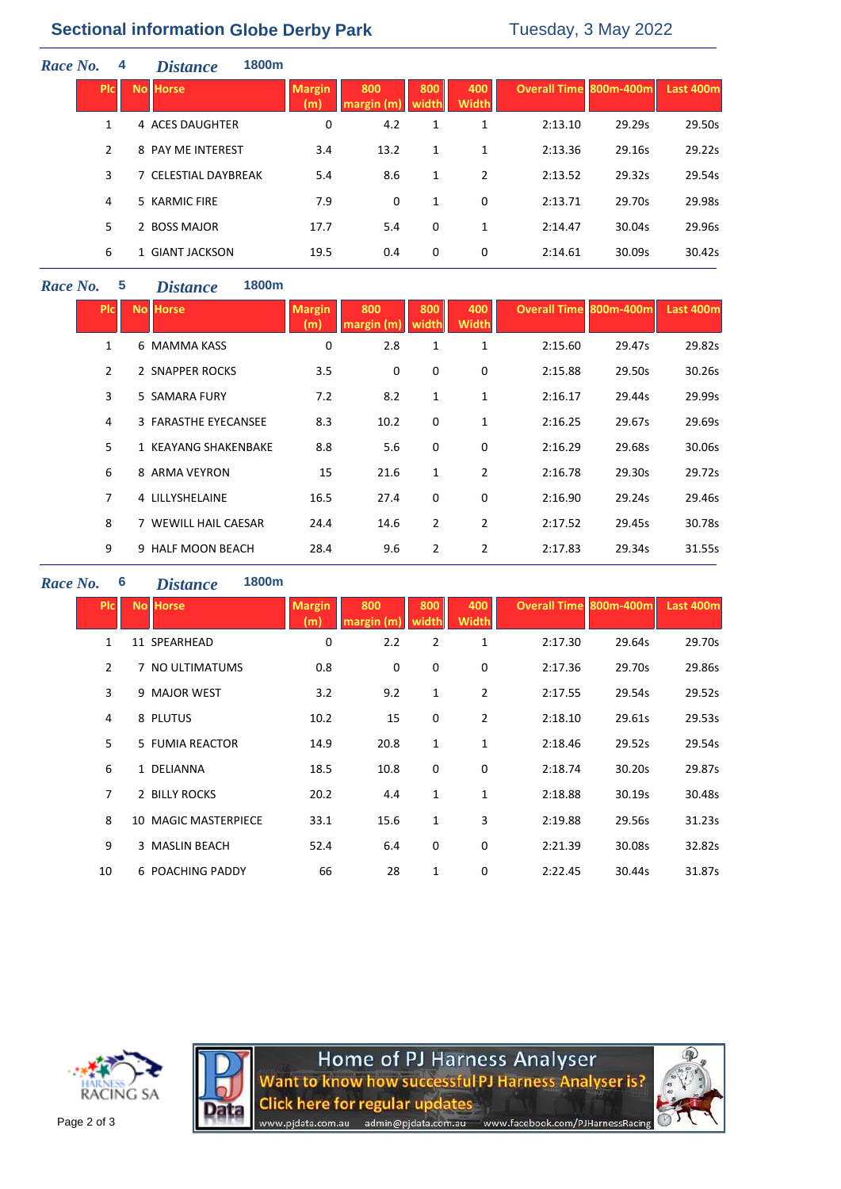# **Sectional information Globe Derby Park** Tuesday, 3 May 2022

| Race No.     | 4 | 1800m<br><b>Distance</b> |                      |                         |     |                     |                        |        |           |
|--------------|---|--------------------------|----------------------|-------------------------|-----|---------------------|------------------------|--------|-----------|
| <b>PIC</b>   |   | No Horse                 | <b>Margin</b><br>(m) | 800<br>margin (m) width | 800 | 400<br><b>Width</b> | Overall Time 800m-400m |        | Last 400m |
| $\mathbf{1}$ |   | 4 ACES DAUGHTER          | 0                    | 4.2                     | 1   | 1                   | 2:13.10                | 29.29s | 29.50s    |
| 2            |   | 8 PAY ME INTEREST        | 3.4                  | 13.2                    | 1   | 1                   | 2:13.36                | 29.16s | 29.22s    |
| 3            |   | 7 CELESTIAL DAYBREAK     | 5.4                  | 8.6                     | 1   | 2                   | 2:13.52                | 29.32s | 29.54s    |
| 4            |   | 5 KARMIC FIRE            | 7.9                  | 0                       | 1   | 0                   | 2:13.71                | 29.70s | 29.98s    |
| 5            |   | 2 BOSS MAJOR             | 17.7                 | 5.4                     | 0   | $\mathbf{1}$        | 2:14.47                | 30.04s | 29.96s    |
| 6            |   | 1 GIANT JACKSON          | 19.5                 | 0.4                     | 0   | 0                   | 2:14.61                | 30.09s | 30.42s    |
|              |   |                          |                      |                         |     |                     |                        |        |           |

## *Race No.* **5** *Distance* **1800m**

| Pic            | <b>No Horse</b>      | <b>Margin</b><br>(m) | 800<br>margin(m) | 800<br>width   | 400<br>Width   | <b>Overall Time 800m-400m</b> |        | Last 400m |
|----------------|----------------------|----------------------|------------------|----------------|----------------|-------------------------------|--------|-----------|
| 1              | 6 MAMMA KASS         | 0                    | 2.8              | 1              | 1              | 2:15.60                       | 29.47s | 29.82s    |
| $\overline{2}$ | 2 SNAPPER ROCKS      | 3.5                  | 0                | 0              | 0              | 2:15.88                       | 29.50s | 30.26s    |
| 3              | 5 SAMARA FURY        | 7.2                  | 8.2              | 1              | 1              | 2:16.17                       | 29.44s | 29.99s    |
| 4              | 3 FARASTHE EYECANSEE | 8.3                  | 10.2             | $\mathbf 0$    | 1              | 2:16.25                       | 29.67s | 29.69s    |
| 5              | 1 KEAYANG SHAKENBAKE | 8.8                  | 5.6              | 0              | 0              | 2:16.29                       | 29.68s | 30.06s    |
| 6              | 8 ARMA VEYRON        | 15                   | 21.6             | 1              | $\overline{2}$ | 2:16.78                       | 29.30s | 29.72s    |
| $\overline{7}$ | 4 LILLYSHELAINE      | 16.5                 | 27.4             | 0              | 0              | 2:16.90                       | 29.24s | 29.46s    |
| 8              | 7 WEWILL HAIL CAESAR | 24.4                 | 14.6             | $\overline{2}$ | 2              | 2:17.52                       | 29.45s | 30.78s    |
| 9              | 9 HALF MOON BEACH    | 28.4                 | 9.6              | $\overline{2}$ | 2              | 2:17.83                       | 29.34s | 31.55s    |

## *Race No.* **6** *Distance* **1800m**

| <b>PIC</b>     | <b>No Horse</b>      | <b>Margin</b><br>(m) | 800  | 800<br>width | 400<br>Width   | <b>Overall Time 800m-400m</b> |        | Last 400m |  |  |
|----------------|----------------------|----------------------|------|--------------|----------------|-------------------------------|--------|-----------|--|--|
| $\mathbf{1}$   | 11 SPEARHEAD         | 0                    | 2.2  | 2            | 1              | 2:17.30                       | 29.64s | 29.70s    |  |  |
| $\overline{2}$ | 7 NO ULTIMATUMS      | 0.8                  | 0    | 0            | 0              | 2:17.36                       | 29.70s | 29.86s    |  |  |
| 3              | 9 MAJOR WEST         | 3.2                  | 9.2  | $\mathbf{1}$ | $\overline{2}$ | 2:17.55                       | 29.54s | 29.52s    |  |  |
| 4              | 8 PLUTUS             | 10.2                 | 15   | 0            | $\overline{2}$ | 2:18.10                       | 29.61s | 29.53s    |  |  |
| 5              | 5 FUMIA REACTOR      | 14.9                 | 20.8 | $\mathbf{1}$ | 1              | 2:18.46                       | 29.52s | 29.54s    |  |  |
| 6              | 1 DELIANNA           | 18.5                 | 10.8 | 0            | 0              | 2:18.74                       | 30.20s | 29.87s    |  |  |
| 7              | 2 BILLY ROCKS        | 20.2                 | 4.4  | $\mathbf{1}$ | 1              | 2:18.88                       | 30.19s | 30.48s    |  |  |
| 8              | 10 MAGIC MASTERPIECE | 33.1                 | 15.6 | $\mathbf{1}$ | 3              | 2:19.88                       | 29.56s | 31.23s    |  |  |
| 9              | 3 MASLIN BEACH       | 52.4                 | 6.4  | 0            | 0              | 2:21.39                       | 30.08s | 32.82s    |  |  |
| 10             | 6 POACHING PADDY     | 66                   | 28   | 1            | 0              | 2:22.45                       | 30.44s | 31.87s    |  |  |
|                |                      |                      |      |              |                |                               |        |           |  |  |





Home of PJ Harness Analyser<br>Want to know how successful PJ Harness Analyser is? **Click here for regular updates** www.pjdata.com.au admin@pjdata.com.au www.facebook.com/PJHarnessRacing